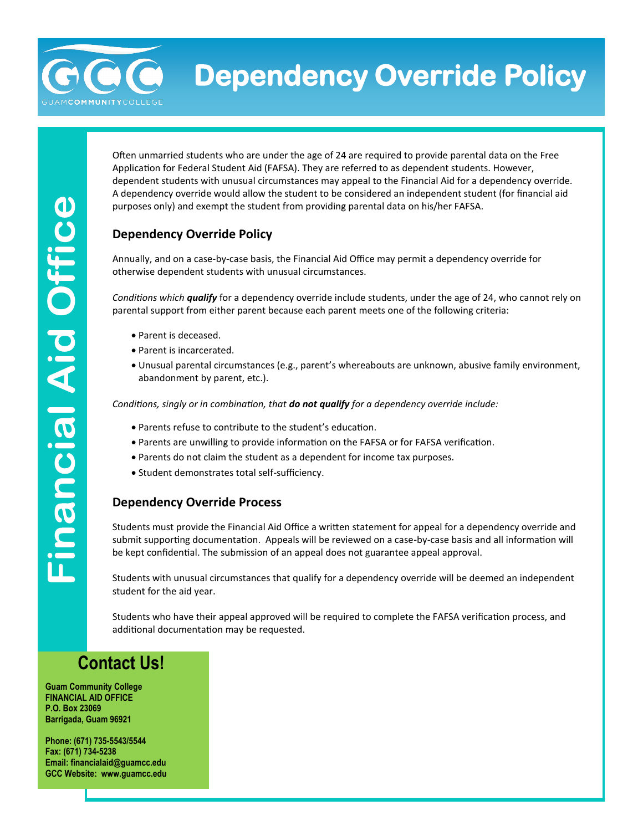**Dependency Override Policy** 

Often unmarried students who are under the age of 24 are required to provide parental data on the Free Application for Federal Student Aid (FAFSA). They are referred to as dependent students. However, dependent students with unusual circumstances may appeal to the Financial Aid for a dependency override. A dependency override would allow the student to be considered an independent student (for financial aid purposes only) and exempt the student from providing parental data on his/her FAFSA.

### **Dependency Override Policy**

Annually, and on a case-by-case basis, the Financial Aid Office may permit a dependency override for otherwise dependent students with unusual circumstances.

*Conditions which qualify* for a dependency override include students, under the age of 24, who cannot rely on parental support from either parent because each parent meets one of the following criteria:

- Parent is deceased.
- Parent is incarcerated.
- Unusual parental circumstances (e.g., parent's whereabouts are unknown, abusive family environment, abandonment by parent, etc.).

*Conditions, singly or in combination, that do not qualify for a dependency override include:*

- Parents refuse to contribute to the student's education.
- Parents are unwilling to provide information on the FAFSA or for FAFSA verification.
- Parents do not claim the student as a dependent for income tax purposes.
- Student demonstrates total self-sufficiency.

#### **Dependency Override Process**

Students must provide the Financial Aid Office a written statement for appeal for a dependency override and submit supporting documentation. Appeals will be reviewed on a case-by-case basis and all information will be kept confidential. The submission of an appeal does not guarantee appeal approval.

Students with unusual circumstances that qualify for a dependency override will be deemed an independent student for the aid year.

Students who have their appeal approved will be required to complete the FAFSA verification process, and additional documentation may be requested.

## **Contact Us!**

**Guam Community College FINANCIAL AID OFFICE P.O. Box 23069 Barrigada, Guam 96921**

**Phone: (671) 735-5543/5544 Fax: (671) 734-5238 Email: financialaid@guamcc.edu GCC Website: www.guamcc.edu**

anan

**COMMUNITY**COLLE